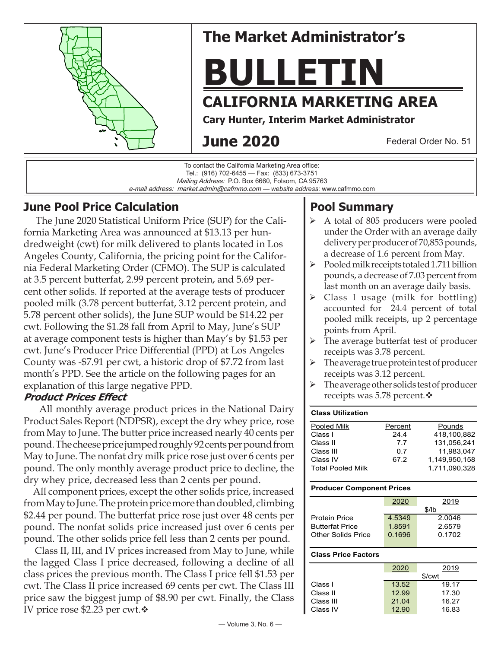

e-mail address: market.admin@cafmmo.com — *website address*: www.cafmmo.com

### **June Pool Price Calculation**

 The June 2020 Statistical Uniform Price (SUP) for the California Marketing Area was announced at \$13.13 per hundredweight (cwt) for milk delivered to plants located in Los Angeles County, California, the pricing point for the California Federal Marketing Order (CFMO). The SUP is calculated at 3.5 percent butterfat, 2.99 percent protein, and 5.69 percent other solids. If reported at the average tests of producer pooled milk (3.78 percent butterfat, 3.12 percent protein, and 5.78 percent other solids), the June SUP would be \$14.22 per cwt. Following the \$1.28 fall from April to May, June's SUP at average component tests is higher than May's by \$1.53 per cwt. June's Producer Price Differential (PPD) at Los Angeles County was -\$7.91 per cwt, a historic drop of \$7.72 from last month's PPD. See the article on the following pages for an explanation of this large negative PPD.

### **Product Prices Effect**

 All monthly average product prices in the National Dairy Product Sales Report (NDPSR), except the dry whey price, rose from May to June. The butter price increased nearly 40 cents per pound. The cheese price jumped roughly 92 cents per pound from May to June. The nonfat dry milk price rose just over 6 cents per pound. The only monthly average product price to decline, the dry whey price, decreased less than 2 cents per pound.

 All component prices, except the other solids price, increased from May to June. The protein price more than doubled, climbing \$2.44 per pound. The butterfat price rose just over 48 cents per pound. The nonfat solids price increased just over 6 cents per pound. The other solids price fell less than 2 cents per pound.

 Class II, III, and IV prices increased from May to June, while the lagged Class I price decreased, following a decline of all class prices the previous month. The Class I price fell \$1.53 per cwt. The Class II price increased 69 cents per cwt. The Class III price saw the biggest jump of \$8.90 per cwt. Finally, the Class IV price rose \$2.23 per cwt. $\cdot$ 

# **Pool Summary**

- A total of 805 producers were pooled under the Order with an average daily delivery per producer of 70,853 pounds, a decrease of 1.6 percent from May.
- $\triangleright$  Pooled milk receipts totaled 1.711 billion pounds, a decrease of 7.03 percent from last month on an average daily basis.
- $\triangleright$  Class I usage (milk for bottling) accounted for 24.4 percent of total pooled milk receipts, up 2 percentage points from April.
- $\triangleright$  The average butterfat test of producer receipts was 3.78 percent.
- $\triangleright$  The average true protein test of producer receipts was 3.12 percent.
- $\triangleright$  The average other solids test of producer receipts was 5.78 percent. $\mathbf{\hat{v}}$

#### **Class Utilization** Pooled Milk **Percent** Pounds Class I 24.4 418,100,882<br>Class II 7.7 131.056.241 Class II 7.7 131,056,241 Class III 0.7 11,983,047 Class IV 67.2 1,149,950,158 Total Pooled Milk 1,711,090,328

#### **Producer Component Prices**

|                        | 2020      | 2019   |  |  |
|------------------------|-----------|--------|--|--|
|                        | $$$ /lb   |        |  |  |
| <b>Protein Price</b>   | 4 5 3 4 9 | 2.0046 |  |  |
| <b>Butterfat Price</b> | 1.8591    | 2.6579 |  |  |
| Other Solids Price     | 0.1696    | 0.1702 |  |  |
|                        |           |        |  |  |

#### **Class Price Factors**

|           | 2020   | 2019  |  |  |
|-----------|--------|-------|--|--|
|           | \$/cwt |       |  |  |
| Class I   | 13.52  | 19.17 |  |  |
| Class II  | 12.99  | 17.30 |  |  |
| Class III | 21.04  | 16.27 |  |  |
| Class IV  | 12.90  | 16.83 |  |  |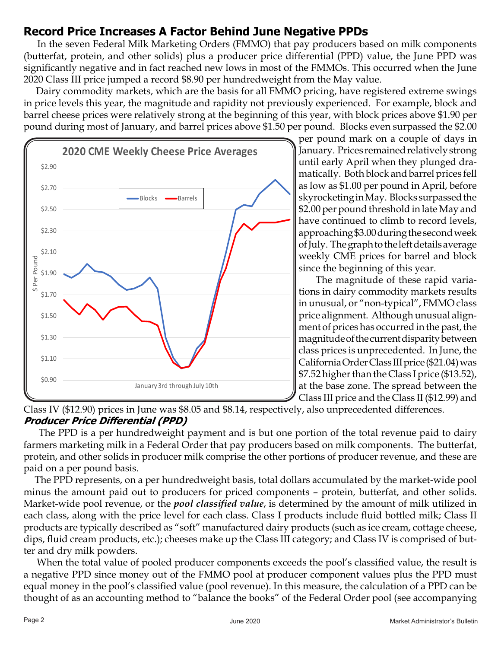## **Record Price Increases A Factor Behind June Negative PPDs**

 In the seven Federal Milk Marketing Orders (FMMO) that pay producers based on milk components (butterfat, protein, and other solids) plus a producer price differential (PPD) value, the June PPD was significantly negative and in fact reached new lows in most of the FMMOs. This occurred when the June 2020 Class III price jumped a record \$8.90 per hundredweight from the May value.

 Dairy commodity markets, which are the basis for all FMMO pricing, have registered extreme swings in price levels this year, the magnitude and rapidity not previously experienced. For example, block and barrel cheese prices were relatively strong at the beginning of this year, with block prices above \$1.90 per pound during most of January, and barrel prices above \$1.50 per pound. Blocks even surpassed the \$2.00



per pound mark on a couple of days in January. Prices remained relatively strong until early April when they plunged dramatically. Both block and barrel prices fell as low as \$1.00 per pound in April, before skyrocketing in May. Blocks surpassed the \$2.00 per pound threshold in late May and have continued to climb to record levels, approaching \$3.00 during the second week of July. The graph to the left details average weekly CME prices for barrel and block since the beginning of this year.

 The magnitude of these rapid variations in dairy commodity markets results in unusual, or "non-typical", FMMO class price alignment. Although unusual alignment of prices has occurred in the past, the magnitude of the current disparity between class prices is unprecedented. In June, the California Order Class III price (\$21.04) was \$7.52 higher than the Class I price (\$13.52), at the base zone. The spread between the Class III price and the Class II (\$12.99) and

Class IV (\$12.90) prices in June was \$8.05 and \$8.14, respectively, also unprecedented differences. **Producer Price Differential (PPD)**

 The PPD is a per hundredweight payment and is but one portion of the total revenue paid to dairy farmers marketing milk in a Federal Order that pay producers based on milk components. The butterfat, protein, and other solids in producer milk comprise the other portions of producer revenue, and these are paid on a per pound basis.

 The PPD represents, on a per hundredweight basis, total dollars accumulated by the market-wide pool minus the amount paid out to producers for priced components – protein, butterfat, and other solids. Market-wide pool revenue, or the *pool classified value*, is determined by the amount of milk utilized in each class, along with the price level for each class. Class I products include fluid bottled milk; Class II products are typically described as "soft" manufactured dairy products (such as ice cream, cottage cheese, dips, fluid cream products, etc.); cheeses make up the Class III category; and Class IV is comprised of butter and dry milk powders.

 When the total value of pooled producer components exceeds the pool's classified value, the result is a negative PPD since money out of the FMMO pool at producer component values plus the PPD must equal money in the pool's classified value (pool revenue). In this measure, the calculation of a PPD can be thought of as an accounting method to "balance the books" of the Federal Order pool (see accompanying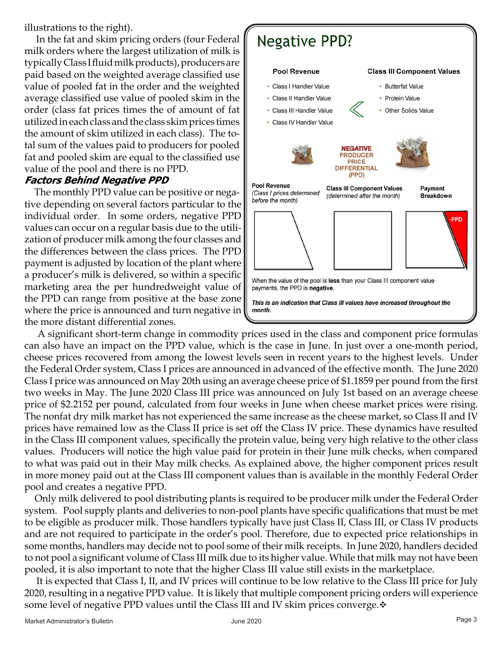illustrations to the right).

 In the fat and skim pricing orders (four Federal milk orders where the largest utilization of milk is typically Class I fluid milk products), producers are paid based on the weighted average classified use value of pooled fat in the order and the weighted average classified use value of pooled skim in the order (class fat prices times the of amount of fat utilized in each class and the class skim prices times the amount of skim utilized in each class). The total sum of the values paid to producers for pooled fat and pooled skim are equal to the classified use value of the pool and there is no PPD.

### **Factors Behind Negative PPD**

 The monthly PPD value can be positive or negative depending on several factors particular to the individual order. In some orders, negative PPD values can occur on a regular basis due to the utilization of producer milk among the four classes and the differences between the class prices. The PPD payment is adjusted by location of the plant where a producer's milk is delivered, so within a specific marketing area the per hundredweight value of the PPD can range from positive at the base zone where the price is announced and turn negative in the more distant differential zones.



 A significant short-term change in commodity prices used in the class and component price formulas can also have an impact on the PPD value, which is the case in June. In just over a one-month period, cheese prices recovered from among the lowest levels seen in recent years to the highest levels. Under the Federal Order system, Class I prices are announced in advanced of the effective month. The June 2020 Class I price was announced on May 20th using an average cheese price of \$1.1859 per pound from the first two weeks in May. The June 2020 Class III price was announced on July 1st based on an average cheese price of \$2.2152 per pound, calculated from four weeks in June when cheese market prices were rising. The nonfat dry milk market has not experienced the same increase as the cheese market, so Class II and IV prices have remained low as the Class II price is set off the Class IV price. These dynamics have resulted in the Class III component values, specifically the protein value, being very high relative to the other class values. Producers will notice the high value paid for protein in their June milk checks, when compared to what was paid out in their May milk checks. As explained above, the higher component prices result in more money paid out at the Class III component values than is available in the monthly Federal Order pool and creates a negative PPD.

 Only milk delivered to pool distributing plants is required to be producer milk under the Federal Order system. Pool supply plants and deliveries to non-pool plants have specific qualifications that must be met to be eligible as producer milk. Those handlers typically have just Class II, Class III, or Class IV products and are not required to participate in the order's pool. Therefore, due to expected price relationships in some months, handlers may decide not to pool some of their milk receipts. In June 2020, handlers decided to not pool a significant volume of Class III milk due to its higher value. While that milk may not have been pooled, it is also important to note that the higher Class III value still exists in the marketplace.

 It is expected that Class I, II, and IV prices will continue to be low relative to the Class III price for July 2020, resulting in a negative PPD value. It is likely that multiple component pricing orders will experience some level of negative PPD values until the Class III and IV skim prices converge. $\ddot{\cdot}$